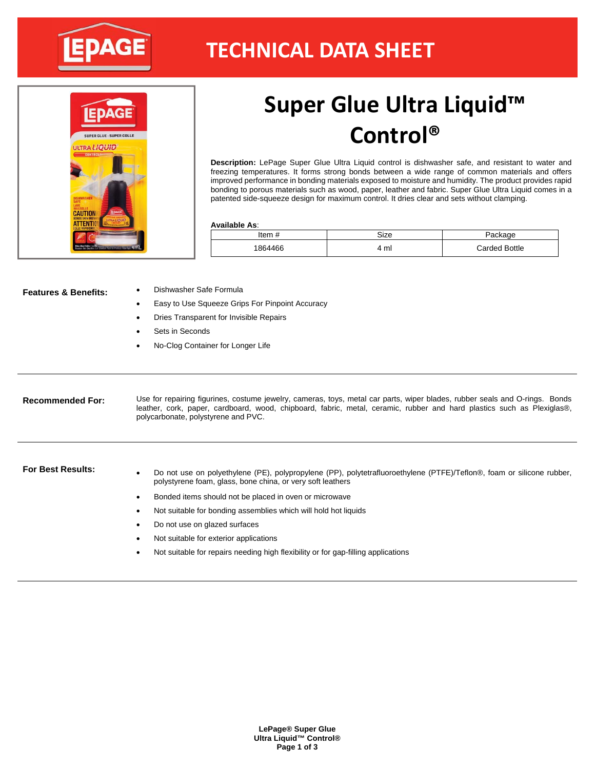

### **TECHNICAL DATA SHEET**



# **Super Glue Ultra Liquid™ Control®**

**Description:** LePage Super Glue Ultra Liquid control is dishwasher safe, and resistant to water and freezing temperatures. It forms strong bonds between a wide range of common materials and offers improved performance in bonding materials exposed to moisture and humidity. The product provides rapid bonding to porous materials such as wood, paper, leather and fabric. Super Glue Ultra Liquid comes in a patented side-squeeze design for maximum control. It dries clear and sets without clamping.

### **Available As**:

| ltem<br>÷ | Size      |               |  |
|-----------|-----------|---------------|--|
| 1864466   | ւ ml<br>4 | Carded Bottle |  |

- Features & Benefits: <br> **Publishment Contracts** Parameter Safe Formula
	- Easy to Use Squeeze Grips For Pinpoint Accuracy
	- Dries Transparent for Invisible Repairs
	- Sets in Seconds
	- No-Clog Container for Longer Life

**Recommended For:** Use for repairing figurines, costume jewelry, cameras, toys, metal car parts, wiper blades, rubber seals and O-rings. Bonds leather, cork, paper, cardboard, wood, chipboard, fabric, metal, ceramic, rubber and hard plastics such as Plexiglas®, polycarbonate, polystyrene and PVC.

- For Best Results: Do not use on polyethylene (PE), polypropylene (PP), polytetrafluoroethylene (PTFE)/Teflon®, foam or silicone rubber, polystyrene foam, glass, bone china, or very soft leathers
	- Bonded items should not be placed in oven or microwave
	- Not suitable for bonding assemblies which will hold hot liquids
	- Do not use on glazed surfaces
	- Not suitable for exterior applications
	- Not suitable for repairs needing high flexibility or for gap-filling applications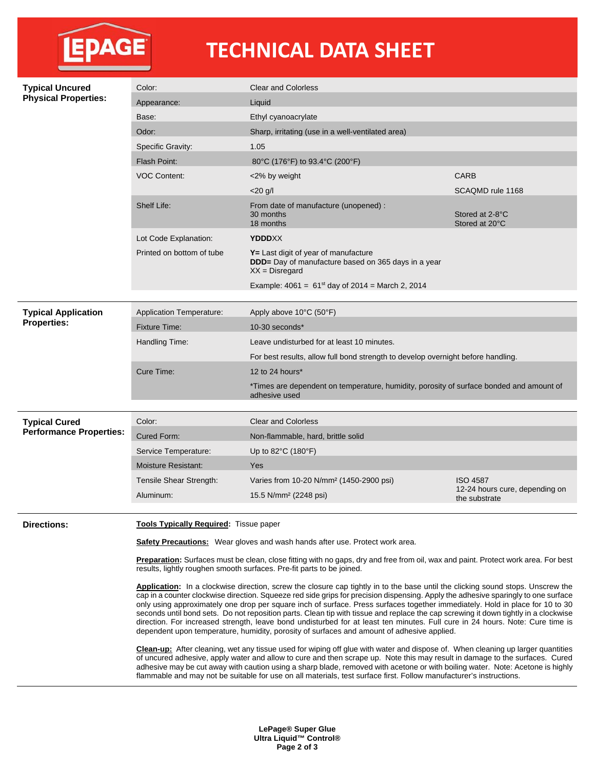|--|--|--|

## **TECHNICAL DATA SHEET**

| <b>Typical Uncured</b><br><b>Physical Properties:</b>  | Color:                                                                                                                                                                                                                                                                                                                                                                                                                                                                                                                                                                                                                                                                                                                                                                              | <b>Clear and Colorless</b>                                                                                                                                                                                                                                                                                                                                                                                                                                                                                                      |                                                 |
|--------------------------------------------------------|-------------------------------------------------------------------------------------------------------------------------------------------------------------------------------------------------------------------------------------------------------------------------------------------------------------------------------------------------------------------------------------------------------------------------------------------------------------------------------------------------------------------------------------------------------------------------------------------------------------------------------------------------------------------------------------------------------------------------------------------------------------------------------------|---------------------------------------------------------------------------------------------------------------------------------------------------------------------------------------------------------------------------------------------------------------------------------------------------------------------------------------------------------------------------------------------------------------------------------------------------------------------------------------------------------------------------------|-------------------------------------------------|
|                                                        | Appearance:                                                                                                                                                                                                                                                                                                                                                                                                                                                                                                                                                                                                                                                                                                                                                                         | Liquid                                                                                                                                                                                                                                                                                                                                                                                                                                                                                                                          |                                                 |
|                                                        | Base:                                                                                                                                                                                                                                                                                                                                                                                                                                                                                                                                                                                                                                                                                                                                                                               | Ethyl cyanoacrylate                                                                                                                                                                                                                                                                                                                                                                                                                                                                                                             |                                                 |
|                                                        | Odor:                                                                                                                                                                                                                                                                                                                                                                                                                                                                                                                                                                                                                                                                                                                                                                               | Sharp, irritating (use in a well-ventilated area)                                                                                                                                                                                                                                                                                                                                                                                                                                                                               |                                                 |
|                                                        | <b>Specific Gravity:</b>                                                                                                                                                                                                                                                                                                                                                                                                                                                                                                                                                                                                                                                                                                                                                            | 1.05                                                                                                                                                                                                                                                                                                                                                                                                                                                                                                                            |                                                 |
|                                                        | Flash Point:                                                                                                                                                                                                                                                                                                                                                                                                                                                                                                                                                                                                                                                                                                                                                                        | 80°C (176°F) to 93.4°C (200°F)                                                                                                                                                                                                                                                                                                                                                                                                                                                                                                  |                                                 |
|                                                        | <b>VOC Content:</b>                                                                                                                                                                                                                                                                                                                                                                                                                                                                                                                                                                                                                                                                                                                                                                 | <2% by weight                                                                                                                                                                                                                                                                                                                                                                                                                                                                                                                   | <b>CARB</b>                                     |
|                                                        |                                                                                                                                                                                                                                                                                                                                                                                                                                                                                                                                                                                                                                                                                                                                                                                     | $<$ 20 g/l                                                                                                                                                                                                                                                                                                                                                                                                                                                                                                                      | SCAQMD rule 1168                                |
|                                                        | Shelf Life:                                                                                                                                                                                                                                                                                                                                                                                                                                                                                                                                                                                                                                                                                                                                                                         | From date of manufacture (unopened) :<br>30 months<br>18 months                                                                                                                                                                                                                                                                                                                                                                                                                                                                 | Stored at 2-8°C<br>Stored at 20°C               |
|                                                        | Lot Code Explanation:                                                                                                                                                                                                                                                                                                                                                                                                                                                                                                                                                                                                                                                                                                                                                               | <b>YDDDXX</b>                                                                                                                                                                                                                                                                                                                                                                                                                                                                                                                   |                                                 |
|                                                        | Printed on bottom of tube                                                                                                                                                                                                                                                                                                                                                                                                                                                                                                                                                                                                                                                                                                                                                           | Y= Last digit of year of manufacture<br><b>DDD</b> = Day of manufacture based on 365 days in a year<br>$XX = Disregard$                                                                                                                                                                                                                                                                                                                                                                                                         |                                                 |
|                                                        |                                                                                                                                                                                                                                                                                                                                                                                                                                                                                                                                                                                                                                                                                                                                                                                     | Example: $4061 = 61^{st}$ day of 2014 = March 2, 2014                                                                                                                                                                                                                                                                                                                                                                                                                                                                           |                                                 |
|                                                        |                                                                                                                                                                                                                                                                                                                                                                                                                                                                                                                                                                                                                                                                                                                                                                                     |                                                                                                                                                                                                                                                                                                                                                                                                                                                                                                                                 |                                                 |
| <b>Typical Application</b><br><b>Properties:</b>       | Application Temperature:                                                                                                                                                                                                                                                                                                                                                                                                                                                                                                                                                                                                                                                                                                                                                            | Apply above 10°C (50°F)                                                                                                                                                                                                                                                                                                                                                                                                                                                                                                         |                                                 |
|                                                        | <b>Fixture Time:</b>                                                                                                                                                                                                                                                                                                                                                                                                                                                                                                                                                                                                                                                                                                                                                                | 10-30 seconds*                                                                                                                                                                                                                                                                                                                                                                                                                                                                                                                  |                                                 |
|                                                        | Handling Time:                                                                                                                                                                                                                                                                                                                                                                                                                                                                                                                                                                                                                                                                                                                                                                      | Leave undisturbed for at least 10 minutes.                                                                                                                                                                                                                                                                                                                                                                                                                                                                                      |                                                 |
|                                                        |                                                                                                                                                                                                                                                                                                                                                                                                                                                                                                                                                                                                                                                                                                                                                                                     | For best results, allow full bond strength to develop overnight before handling.                                                                                                                                                                                                                                                                                                                                                                                                                                                |                                                 |
|                                                        | Cure Time:                                                                                                                                                                                                                                                                                                                                                                                                                                                                                                                                                                                                                                                                                                                                                                          | 12 to 24 hours*                                                                                                                                                                                                                                                                                                                                                                                                                                                                                                                 |                                                 |
|                                                        |                                                                                                                                                                                                                                                                                                                                                                                                                                                                                                                                                                                                                                                                                                                                                                                     | *Times are dependent on temperature, humidity, porosity of surface bonded and amount of<br>adhesive used                                                                                                                                                                                                                                                                                                                                                                                                                        |                                                 |
|                                                        |                                                                                                                                                                                                                                                                                                                                                                                                                                                                                                                                                                                                                                                                                                                                                                                     |                                                                                                                                                                                                                                                                                                                                                                                                                                                                                                                                 |                                                 |
| <b>Typical Cured</b><br><b>Performance Properties:</b> | Color:                                                                                                                                                                                                                                                                                                                                                                                                                                                                                                                                                                                                                                                                                                                                                                              | <b>Clear and Colorless</b>                                                                                                                                                                                                                                                                                                                                                                                                                                                                                                      |                                                 |
|                                                        | <b>Cured Form:</b>                                                                                                                                                                                                                                                                                                                                                                                                                                                                                                                                                                                                                                                                                                                                                                  | Non-flammable, hard, brittle solid                                                                                                                                                                                                                                                                                                                                                                                                                                                                                              |                                                 |
|                                                        | Service Temperature:                                                                                                                                                                                                                                                                                                                                                                                                                                                                                                                                                                                                                                                                                                                                                                | Up to $82^{\circ}$ C (180 $^{\circ}$ F)                                                                                                                                                                                                                                                                                                                                                                                                                                                                                         |                                                 |
|                                                        | <b>Moisture Resistant:</b>                                                                                                                                                                                                                                                                                                                                                                                                                                                                                                                                                                                                                                                                                                                                                          | Yes                                                                                                                                                                                                                                                                                                                                                                                                                                                                                                                             |                                                 |
|                                                        | Tensile Shear Strength:                                                                                                                                                                                                                                                                                                                                                                                                                                                                                                                                                                                                                                                                                                                                                             | Varies from 10-20 N/mm <sup>2</sup> (1450-2900 psi)                                                                                                                                                                                                                                                                                                                                                                                                                                                                             | <b>ISO 4587</b>                                 |
|                                                        | Aluminum:                                                                                                                                                                                                                                                                                                                                                                                                                                                                                                                                                                                                                                                                                                                                                                           | 15.5 N/mm <sup>2</sup> (2248 psi)                                                                                                                                                                                                                                                                                                                                                                                                                                                                                               | 12-24 hours cure, depending on<br>the substrate |
|                                                        |                                                                                                                                                                                                                                                                                                                                                                                                                                                                                                                                                                                                                                                                                                                                                                                     |                                                                                                                                                                                                                                                                                                                                                                                                                                                                                                                                 |                                                 |
| <b>Directions:</b>                                     | <b>Tools Typically Required:</b> Tissue paper                                                                                                                                                                                                                                                                                                                                                                                                                                                                                                                                                                                                                                                                                                                                       |                                                                                                                                                                                                                                                                                                                                                                                                                                                                                                                                 |                                                 |
|                                                        |                                                                                                                                                                                                                                                                                                                                                                                                                                                                                                                                                                                                                                                                                                                                                                                     | <b>Safety Precautions:</b> Wear gloves and wash hands after use. Protect work area.                                                                                                                                                                                                                                                                                                                                                                                                                                             |                                                 |
|                                                        |                                                                                                                                                                                                                                                                                                                                                                                                                                                                                                                                                                                                                                                                                                                                                                                     | <b>Preparation:</b> Surfaces must be clean, close fitting with no gaps, dry and free from oil, wax and paint. Protect work area. For best<br>results, lightly roughen smooth surfaces. Pre-fit parts to be joined.                                                                                                                                                                                                                                                                                                              |                                                 |
|                                                        | <b>Application:</b> In a clockwise direction, screw the closure cap tightly in to the base until the clicking sound stops. Unscrew the<br>cap in a counter clockwise direction. Squeeze red side grips for precision dispensing. Apply the adhesive sparingly to one surface<br>only using approximately one drop per square inch of surface. Press surfaces together immediately. Hold in place for 10 to 30<br>seconds until bond sets. Do not reposition parts. Clean tip with tissue and replace the cap screwing it down tightly in a clockwise<br>direction. For increased strength, leave bond undisturbed for at least ten minutes. Full cure in 24 hours. Note: Cure time is<br>dependent upon temperature, humidity, porosity of surfaces and amount of adhesive applied. |                                                                                                                                                                                                                                                                                                                                                                                                                                                                                                                                 |                                                 |
|                                                        |                                                                                                                                                                                                                                                                                                                                                                                                                                                                                                                                                                                                                                                                                                                                                                                     | <b>Clean-up:</b> After cleaning, wet any tissue used for wiping off glue with water and dispose of. When cleaning up larger quantities<br>of uncured adhesive, apply water and allow to cure and then scrape up. Note this may result in damage to the surfaces. Cured<br>adhesive may be cut away with caution using a sharp blade, removed with acetone or with boiling water. Note: Acetone is highly<br>flammable and may not be suitable for use on all materials, test surface first. Follow manufacturer's instructions. |                                                 |